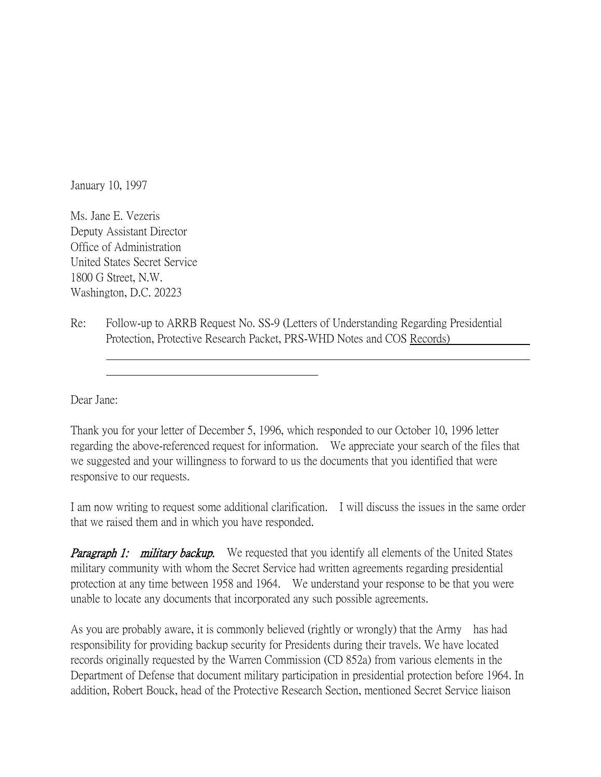January 10, 1997

Ms. Jane E. Vezeris Deputy Assistant Director Office of Administration United States Secret Service 1800 G Street, N.W. Washington, D.C. 20223

Re: Follow-up to ARRB Request No. SS-9 (Letters of Understanding Regarding Presidential Protection, Protective Research Packet, PRS-WHD Notes and COS Records)

Dear Jane:

 

Thank you for your letter of December 5, 1996, which responded to our October 10, 1996 letter regarding the above-referenced request for information. We appreciate your search of the files that we suggested and your willingness to forward to us the documents that you identified that were responsive to our requests.

I am now writing to request some additional clarification. I will discuss the issues in the same order that we raised them and in which you have responded.

**Paragraph 1: military backup.** We requested that you identify all elements of the United States military community with whom the Secret Service had written agreements regarding presidential protection at any time between 1958 and 1964. We understand your response to be that you were unable to locate any documents that incorporated any such possible agreements.

As you are probably aware, it is commonly believed (rightly or wrongly) that the Army has had responsibility for providing backup security for Presidents during their travels. We have located records originally requested by the Warren Commission (CD 852a) from various elements in the Department of Defense that document military participation in presidential protection before 1964. In addition, Robert Bouck, head of the Protective Research Section, mentioned Secret Service liaison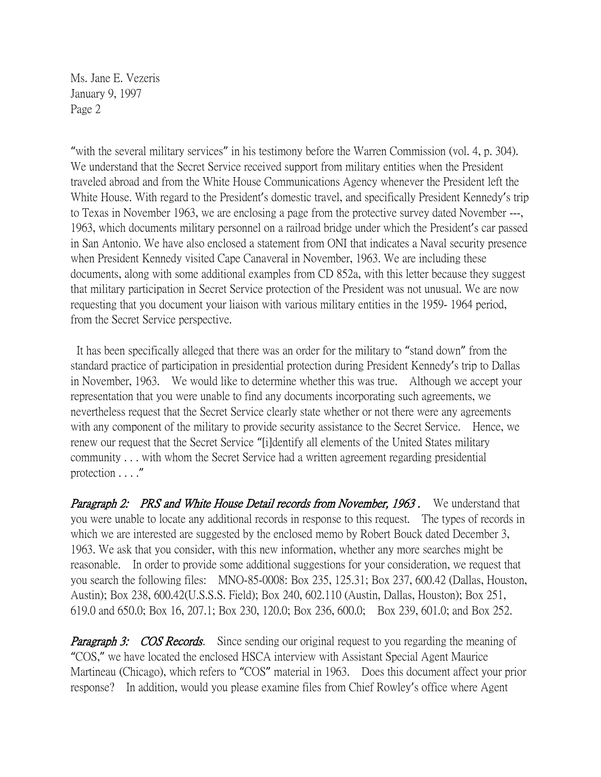Ms. Jane E. Vezeris January 9, 1997 Page 2

"with the several military services" in his testimony before the Warren Commission (vol. 4, p. 304). We understand that the Secret Service received support from military entities when the President traveled abroad and from the White House Communications Agency whenever the President left the White House. With regard to the President's domestic travel, and specifically President Kennedy's trip to Texas in November 1963, we are enclosing a page from the protective survey dated November ---, 1963, which documents military personnel on a railroad bridge under which the President's car passed in San Antonio. We have also enclosed a statement from ONI that indicates a Naval security presence when President Kennedy visited Cape Canaveral in November, 1963. We are including these documents, along with some additional examples from CD 852a, with this letter because they suggest that military participation in Secret Service protection of the President was not unusual. We are now requesting that you document your liaison with various military entities in the 1959- 1964 period, from the Secret Service perspective.

It has been specifically alleged that there was an order for the military to "stand down" from the standard practice of participation in presidential protection during President Kennedy's trip to Dallas in November, 1963. We would like to determine whether this was true. Although we accept your representation that you were unable to find any documents incorporating such agreements, we nevertheless request that the Secret Service clearly state whether or not there were any agreements with any component of the military to provide security assistance to the Secret Service. Hence, we renew our request that the Secret Service "[i]dentify all elements of the United States military community . . . with whom the Secret Service had a written agreement regarding presidential protection . . . ."

Paragraph 2: PRS and White House Detail records from November, 1963. We understand that you were unable to locate any additional records in response to this request. The types of records in which we are interested are suggested by the enclosed memo by Robert Bouck dated December 3, 1963. We ask that you consider, with this new information, whether any more searches might be reasonable. In order to provide some additional suggestions for your consideration, we request that you search the following files: MNO-85-0008: Box 235, 125.31; Box 237, 600.42 (Dallas, Houston, Austin); Box 238, 600.42(U.S.S.S. Field); Box 240, 602.110 (Austin, Dallas, Houston); Box 251, 619.0 and 650.0; Box 16, 207.1; Box 230, 120.0; Box 236, 600.0; Box 239, 601.0; and Box 252.

**Paragraph 3:** COS Records. Since sending our original request to you regarding the meaning of "COS," we have located the enclosed HSCA interview with Assistant Special Agent Maurice Martineau (Chicago), which refers to "COS" material in 1963. Does this document affect your prior response? In addition, would you please examine files from Chief Rowley's office where Agent